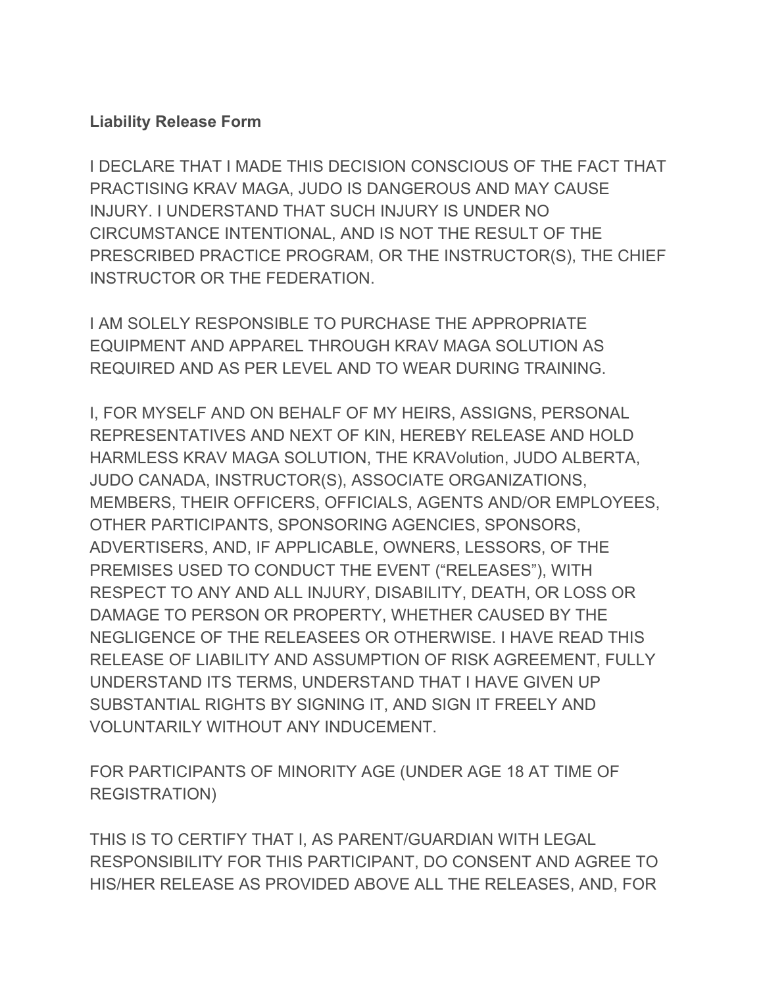## **Liability Release Form**

I DECLARE THAT I MADE THIS DECISION CONSCIOUS OF THE FACT THAT PRACTISING KRAV MAGA, JUDO IS DANGEROUS AND MAY CAUSE INJURY. I UNDERSTAND THAT SUCH INJURY IS UNDER NO CIRCUMSTANCE INTENTIONAL, AND IS NOT THE RESULT OF THE PRESCRIBED PRACTICE PROGRAM, OR THE INSTRUCTOR(S), THE CHIEF INSTRUCTOR OR THE FEDERATION.

I AM SOLELY RESPONSIBLE TO PURCHASE THE APPROPRIATE EQUIPMENT AND APPAREL THROUGH KRAV MAGA SOLUTION AS REQUIRED AND AS PER LEVEL AND TO WEAR DURING TRAINING.

I, FOR MYSELF AND ON BEHALF OF MY HEIRS, ASSIGNS, PERSONAL REPRESENTATIVES AND NEXT OF KIN, HEREBY RELEASE AND HOLD HARMLESS KRAV MAGA SOLUTION, THE KRAVolution, JUDO ALBERTA, JUDO CANADA, INSTRUCTOR(S), ASSOCIATE ORGANIZATIONS, MEMBERS, THEIR OFFICERS, OFFICIALS, AGENTS AND/OR EMPLOYEES, OTHER PARTICIPANTS, SPONSORING AGENCIES, SPONSORS, ADVERTISERS, AND, IF APPLICABLE, OWNERS, LESSORS, OF THE PREMISES USED TO CONDUCT THE EVENT ("RELEASES"), WITH RESPECT TO ANY AND ALL INJURY, DISABILITY, DEATH, OR LOSS OR DAMAGE TO PERSON OR PROPERTY, WHETHER CAUSED BY THE NEGLIGENCE OF THE RELEASEES OR OTHERWISE. I HAVE READ THIS RELEASE OF LIABILITY AND ASSUMPTION OF RISK AGREEMENT, FULLY UNDERSTAND ITS TERMS, UNDERSTAND THAT I HAVE GIVEN UP SUBSTANTIAL RIGHTS BY SIGNING IT, AND SIGN IT FREELY AND VOLUNTARILY WITHOUT ANY INDUCEMENT.

FOR PARTICIPANTS OF MINORITY AGE (UNDER AGE 18 AT TIME OF REGISTRATION)

THIS IS TO CERTIFY THAT I, AS PARENT/GUARDIAN WITH LEGAL RESPONSIBILITY FOR THIS PARTICIPANT, DO CONSENT AND AGREE TO HIS/HER RELEASE AS PROVIDED ABOVE ALL THE RELEASES, AND, FOR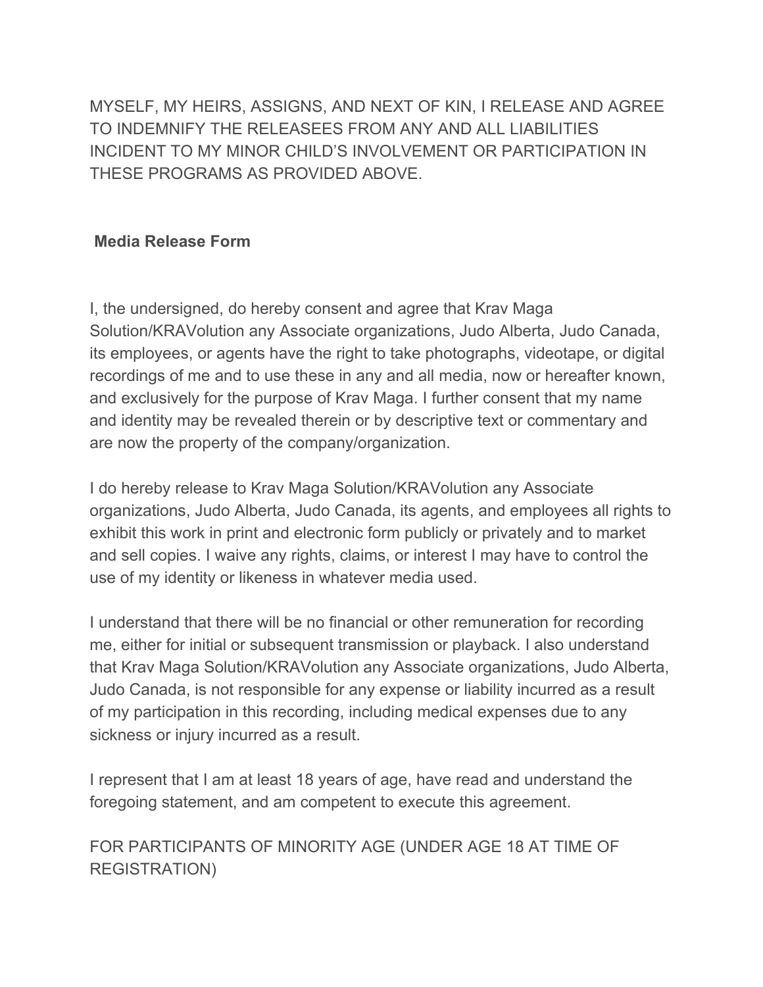MYSELF, MY HEIRS, ASSIGNS, AND NEXT OF KIN, I RELEASE AND AGREE TO INDEMNIFY THE RELEASEES FROM ANY AND ALL LIABILITIES INCIDENT TO MY MINOR CHILD'S INVOLVEMENT OR PARTICIPATION IN THESE PROGRAMS AS PROVIDED ABOVE.

## **Media Release Form**

I, the undersigned, do hereby consent and agree that Krav Maga Solution/KRAVolution any Associate organizations, Judo Alberta, Judo Canada, its employees, or agents have the right to take photographs, videotape, or digital recordings of me and to use these in any and all media, now or hereafter known, and exclusively for the purpose of Krav Maga. I further consent that my name and identity may be revealed therein or by descriptive text or commentary and are now the property of the company/organization.

I do hereby release to Krav Maga Solution/KRAVolution any Associate organizations, Judo Alberta, Judo Canada, its agents, and employees all rights to exhibit this work in print and electronic form publicly or privately and to market and sell copies. I waive any rights, claims, or interest I may have to control the use of my identity or likeness in whatever media used.

I understand that there will be no financial or other remuneration for recording me, either for initial or subsequent transmission or playback. I also understand that Krav Maga Solution/KRAVolution any Associate organizations, Judo Alberta, Judo Canada, is not responsible for any expense or liability incurred as a result of my participation in this recording, including medical expenses due to any sickness or injury incurred as a result.

I represent that I am at least 18 years of age, have read and understand the foregoing statement, and am competent to execute this agreement.

FOR PARTICIPANTS OF MINORITY AGE (UNDER AGE 18 AT TIME OF REGISTRATION)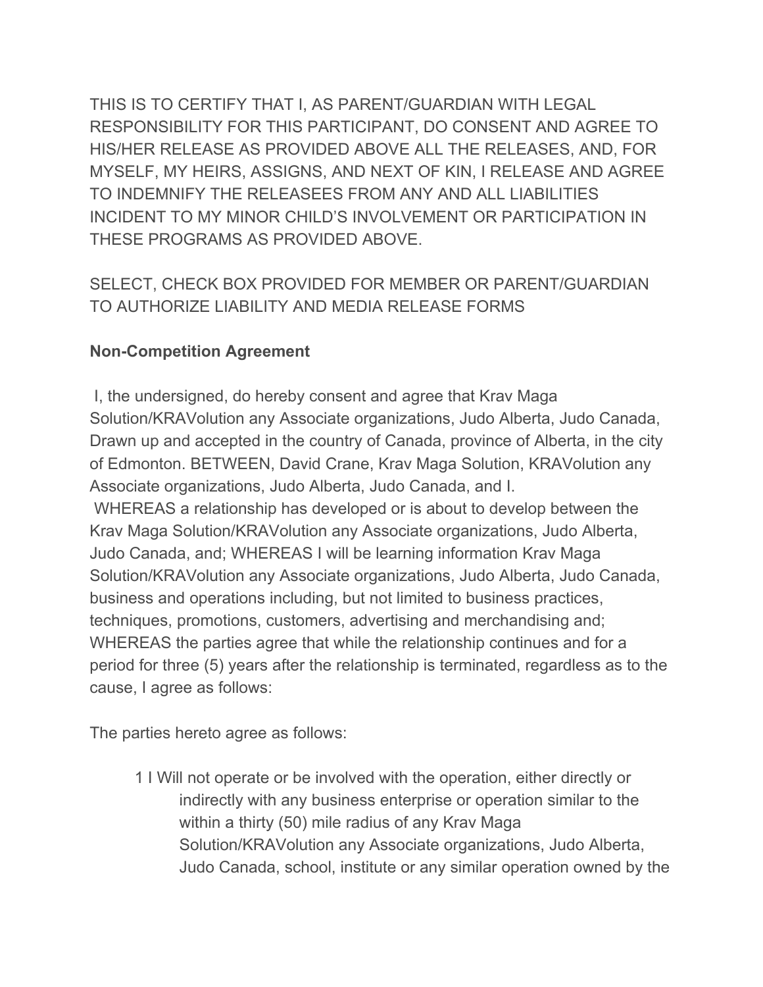THIS IS TO CERTIFY THAT I, AS PARENT/GUARDIAN WITH LEGAL RESPONSIBILITY FOR THIS PARTICIPANT, DO CONSENT AND AGREE TO HIS/HER RELEASE AS PROVIDED ABOVE ALL THE RELEASES, AND, FOR MYSELF, MY HEIRS, ASSIGNS, AND NEXT OF KIN, I RELEASE AND AGREE TO INDEMNIFY THE RELEASEES FROM ANY AND ALL LIABILITIES INCIDENT TO MY MINOR CHILD'S INVOLVEMENT OR PARTICIPATION IN THESE PROGRAMS AS PROVIDED ABOVE.

SELECT, CHECK BOX PROVIDED FOR MEMBER OR PARENT/GUARDIAN TO AUTHORIZE LIABILITY AND MEDIA RELEASE FORMS

## **Non-Competition Agreement**

I, the undersigned, do hereby consent and agree that Krav Maga Solution/KRAVolution any Associate organizations, Judo Alberta, Judo Canada, Drawn up and accepted in the country of Canada, province of Alberta, in the city of Edmonton. BETWEEN, David Crane, Krav Maga Solution, KRAVolution any Associate organizations, Judo Alberta, Judo Canada, and I. WHEREAS a relationship has developed or is about to develop between the Krav Maga Solution/KRAVolution any Associate organizations, Judo Alberta, Judo Canada, and; WHEREAS I will be learning information Krav Maga Solution/KRAVolution any Associate organizations, Judo Alberta, Judo Canada, business and operations including, but not limited to business practices, techniques, promotions, customers, advertising and merchandising and; WHEREAS the parties agree that while the relationship continues and for a period for three (5) years after the relationship is terminated, regardless as to the cause, I agree as follows:

The parties hereto agree as follows:

1 I Will not operate or be involved with the operation, either directly or indirectly with any business enterprise or operation similar to the within a thirty (50) mile radius of any Krav Maga Solution/KRAVolution any Associate organizations, Judo Alberta, Judo Canada, school, institute or any similar operation owned by the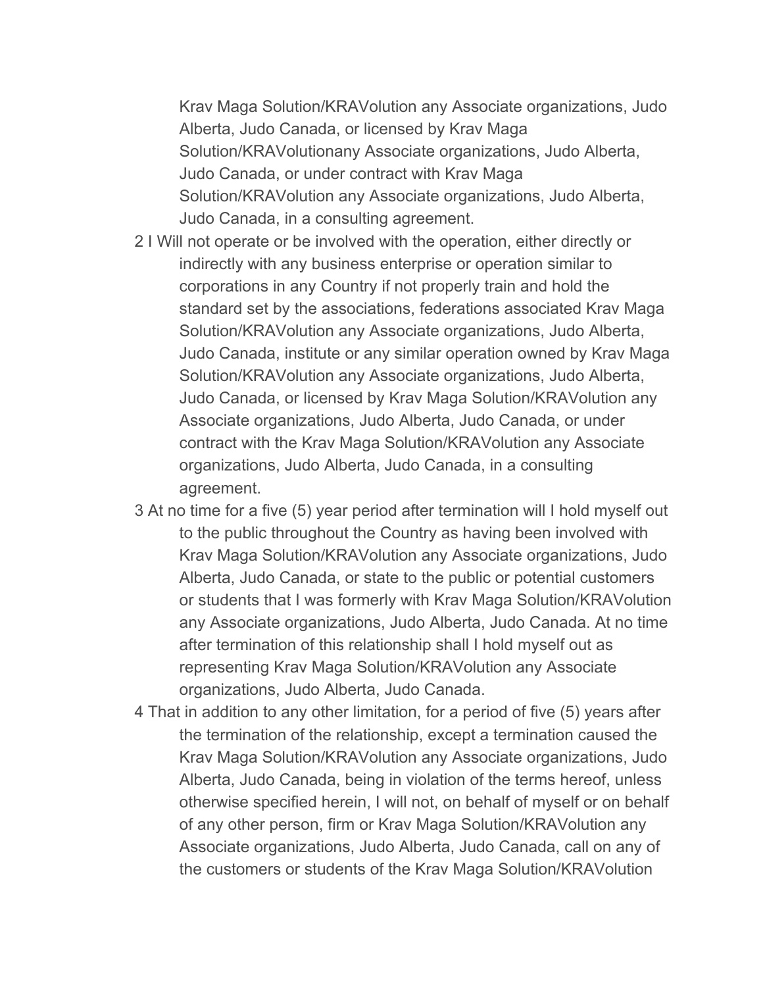Krav Maga Solution/KRAVolution any Associate organizations, Judo Alberta, Judo Canada, or licensed by Krav Maga Solution/KRAVolutionany Associate organizations, Judo Alberta, Judo Canada, or under contract with Krav Maga Solution/KRAVolution any Associate organizations, Judo Alberta, Judo Canada, in a consulting agreement.

- 2 I Will not operate or be involved with the operation, either directly or indirectly with any business enterprise or operation similar to corporations in any Country if not properly train and hold the standard set by the associations, federations associated Krav Maga Solution/KRAVolution any Associate organizations, Judo Alberta, Judo Canada, institute or any similar operation owned by Krav Maga Solution/KRAVolution any Associate organizations, Judo Alberta, Judo Canada, or licensed by Krav Maga Solution/KRAVolution any Associate organizations, Judo Alberta, Judo Canada, or under contract with the Krav Maga Solution/KRAVolution any Associate organizations, Judo Alberta, Judo Canada, in a consulting agreement.
- 3 At no time for a five (5) year period after termination will I hold myself out to the public throughout the Country as having been involved with Krav Maga Solution/KRAVolution any Associate organizations, Judo Alberta, Judo Canada, or state to the public or potential customers or students that I was formerly with Krav Maga Solution/KRAVolution any Associate organizations, Judo Alberta, Judo Canada. At no time after termination of this relationship shall I hold myself out as representing Krav Maga Solution/KRAVolution any Associate organizations, Judo Alberta, Judo Canada.
- 4 That in addition to any other limitation, for a period of five (5) years after the termination of the relationship, except a termination caused the Krav Maga Solution/KRAVolution any Associate organizations, Judo Alberta, Judo Canada, being in violation of the terms hereof, unless otherwise specified herein, I will not, on behalf of myself or on behalf of any other person, firm or Krav Maga Solution/KRAVolution any Associate organizations, Judo Alberta, Judo Canada, call on any of the customers or students of the Krav Maga Solution/KRAVolution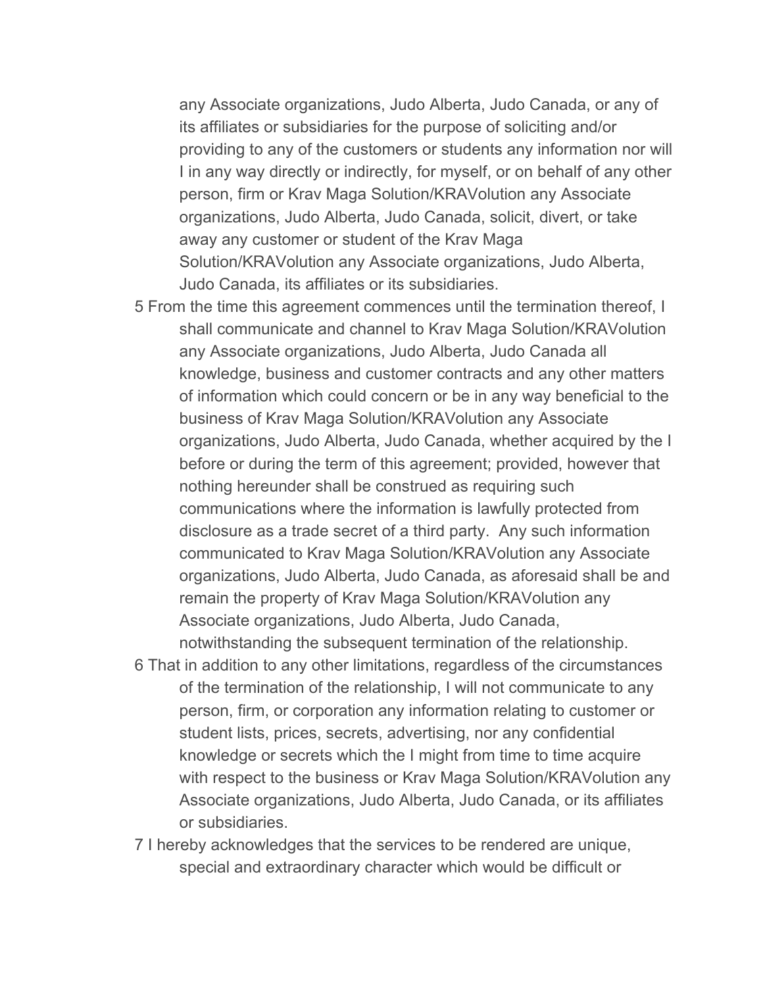any Associate organizations, Judo Alberta, Judo Canada, or any of its affiliates or subsidiaries for the purpose of soliciting and/or providing to any of the customers or students any information nor will I in any way directly or indirectly, for myself, or on behalf of any other person, firm or Krav Maga Solution/KRAVolution any Associate organizations, Judo Alberta, Judo Canada, solicit, divert, or take away any customer or student of the Krav Maga Solution/KRAVolution any Associate organizations, Judo Alberta, Judo Canada, its affiliates or its subsidiaries.

- 5 From the time this agreement commences until the termination thereof, I shall communicate and channel to Krav Maga Solution/KRAVolution any Associate organizations, Judo Alberta, Judo Canada all knowledge, business and customer contracts and any other matters of information which could concern or be in any way beneficial to the business of Krav Maga Solution/KRAVolution any Associate organizations, Judo Alberta, Judo Canada, whether acquired by the I before or during the term of this agreement; provided, however that nothing hereunder shall be construed as requiring such communications where the information is lawfully protected from disclosure as a trade secret of a third party. Any such information communicated to Krav Maga Solution/KRAVolution any Associate organizations, Judo Alberta, Judo Canada, as aforesaid shall be and remain the property of Krav Maga Solution/KRAVolution any Associate organizations, Judo Alberta, Judo Canada, notwithstanding the subsequent termination of the relationship.
- 6 That in addition to any other limitations, regardless of the circumstances of the termination of the relationship, I will not communicate to any person, firm, or corporation any information relating to customer or student lists, prices, secrets, advertising, nor any confidential knowledge or secrets which the I might from time to time acquire with respect to the business or Krav Maga Solution/KRAVolution any Associate organizations, Judo Alberta, Judo Canada, or its affiliates or subsidiaries.
- 7 I hereby acknowledges that the services to be rendered are unique, special and extraordinary character which would be difficult or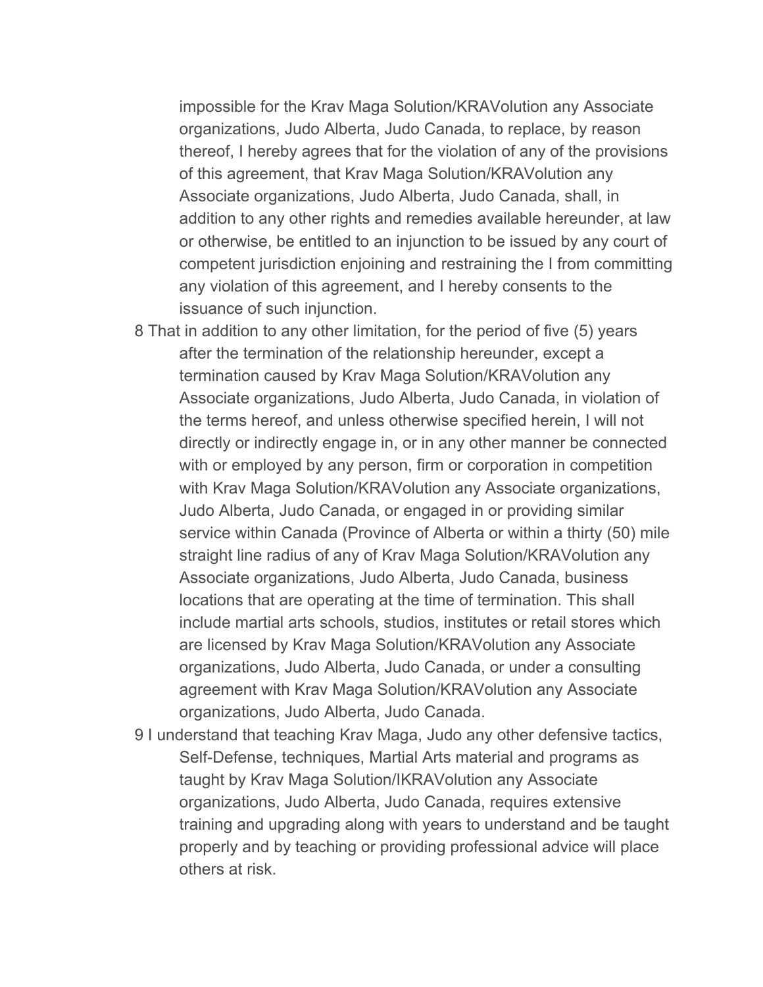impossible for the Krav Maga Solution/KRAVolution any Associate organizations, Judo Alberta, Judo Canada, to replace, by reason thereof, I hereby agrees that for the violation of any of the provisions of this agreement, that Krav Maga Solution/KRAVolution any Associate organizations, Judo Alberta, Judo Canada, shall, in addition to any other rights and remedies available hereunder, at law or otherwise, be entitled to an injunction to be issued by any court of competent jurisdiction enjoining and restraining the I from committing any violation of this agreement, and I hereby consents to the issuance of such injunction.

- 8 That in addition to any other limitation, for the period of five (5) years after the termination of the relationship hereunder, except a termination caused by Krav Maga Solution/KRAVolution any Associate organizations, Judo Alberta, Judo Canada, in violation of the terms hereof, and unless otherwise specified herein, I will not directly or indirectly engage in, or in any other manner be connected with or employed by any person, firm or corporation in competition with Krav Maga Solution/KRAVolution any Associate organizations, Judo Alberta, Judo Canada, or engaged in or providing similar service within Canada (Province of Alberta or within a thirty (50) mile straight line radius of any of Krav Maga Solution/KRAVolution any Associate organizations, Judo Alberta, Judo Canada, business locations that are operating at the time of termination. This shall include martial arts schools, studios, institutes or retail stores which are licensed by Krav Maga Solution/KRAVolution any Associate organizations, Judo Alberta, Judo Canada, or under a consulting agreement with Krav Maga Solution/KRAVolution any Associate organizations, Judo Alberta, Judo Canada.
- 9 I understand that teaching Krav Maga, Judo any other defensive tactics, Self-Defense, techniques, Martial Arts material and programs as taught by Krav Maga Solution/IKRAVolution any Associate organizations, Judo Alberta, Judo Canada, requires extensive training and upgrading along with years to understand and be taught properly and by teaching or providing professional advice will place others at risk.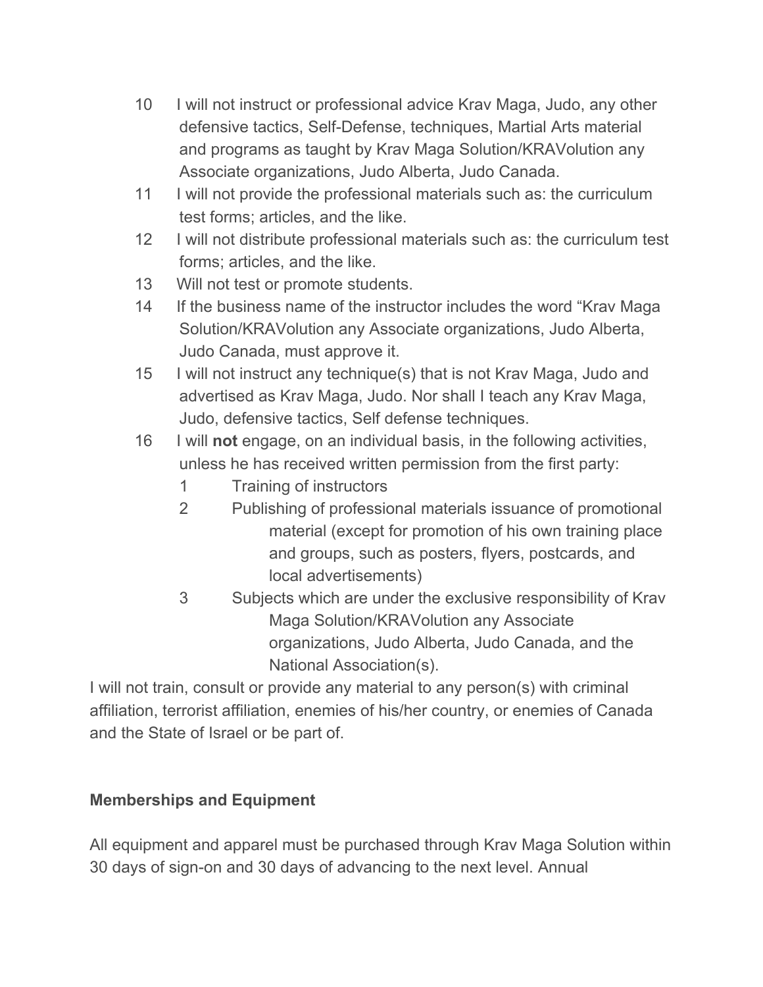- 10 I will not instruct or professional advice Krav Maga, Judo, any other defensive tactics, Self-Defense, techniques, Martial Arts material and programs as taught by Krav Maga Solution/KRAVolution any Associate organizations, Judo Alberta, Judo Canada.
- 11 I will not provide the professional materials such as: the curriculum test forms; articles, and the like.
- 12 I will not distribute professional materials such as: the curriculum test forms; articles, and the like.
- 13 Will not test or promote students.
- 14 If the business name of the instructor includes the word "Krav Maga Solution/KRAVolution any Associate organizations, Judo Alberta, Judo Canada, must approve it.
- 15 I will not instruct any technique(s) that is not Krav Maga, Judo and advertised as Krav Maga, Judo. Nor shall I teach any Krav Maga, Judo, defensive tactics, Self defense techniques.
- 16 I will **not** engage, on an individual basis, in the following activities, unless he has received written permission from the first party:
	- 1 Training of instructors
	- 2 Publishing of professional materials issuance of promotional material (except for promotion of his own training place and groups, such as posters, flyers, postcards, and local advertisements)
	- 3 Subjects which are under the exclusive responsibility of Krav Maga Solution/KRAVolution any Associate organizations, Judo Alberta, Judo Canada, and the National Association(s).

I will not train, consult or provide any material to any person(s) with criminal affiliation, terrorist affiliation, enemies of his/her country, or enemies of Canada and the State of Israel or be part of.

## **Memberships and Equipment**

All equipment and apparel must be purchased through Krav Maga Solution within 30 days of sign-on and 30 days of advancing to the next level. Annual